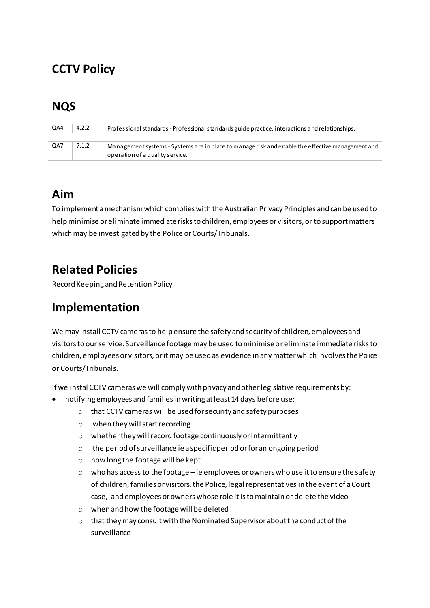# **CCTV Policy**

## **NQS**

| QA4 | 4.2.2 | Professional standards - Professional standards guide practice, interactions and relationships.  |
|-----|-------|--------------------------------------------------------------------------------------------------|
|     |       |                                                                                                  |
| QA7 | 7.1.2 | Management systems - Systems are in place to manage risk and enable the effective management and |
|     |       | operation of a quality service.                                                                  |

### **Aim**

To implement a mechanism which complies with the Australian Privacy Principles and can be used to help minimise or eliminate immediate risks to children, employees or visitors, or to support matters which may be investigated by the Police or Courts/Tribunals.

## **Related Policies**

Record Keeping and Retention Policy

#### **Implementation**

We may install CCTV cameras to help ensure the safety and security of children, employees and visitors to our service. Surveillance footage may be used to minimise or eliminate immediate risks to children, employees or visitors, or it may be used as evidence in any matter which involves the Police or Courts/Tribunals.

If we instal CCTV cameras we will comply with privacy and other legislative requirements by:

- notifying employees and families in writing at least 14 days before use:
	- o that CCTV cameras will be used for security and safety purposes
	- o when they will start recording
	- o whether they will record footage continuously or intermittently
	- o the period of surveillance ie a specific period or for an ongoing period
	- o how long the footage will be kept
	- $\circ$  who has access to the footage ie employees or owners who use it to ensure the safety of children, families or visitors, the Police, legal representatives in the event of a Court case, and employees or owners whose role it is to maintain or delete the video
	- o when and how the footage will be deleted
	- o that they may consult with the Nominated Supervisor about the conduct of the surveillance